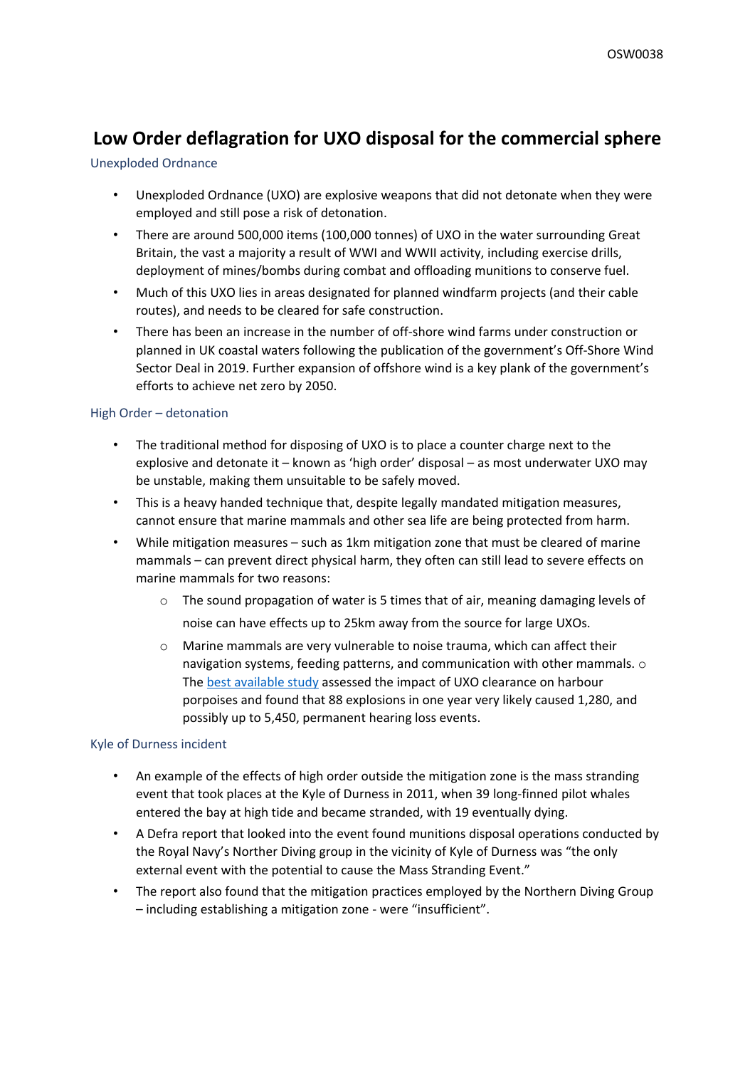# **Low Order deflagration for UXO disposal for the commercial sphere**

## Unexploded Ordnance

- Unexploded Ordnance (UXO) are explosive weapons that did not detonate when they were employed and still pose a risk of detonation.
- There are around 500,000 items (100,000 tonnes) of UXO in the water surrounding Great Britain, the vast a majority a result of WWI and WWII activity, including exercise drills, deployment of mines/bombs during combat and offloading munitions to conserve fuel.
- Much of this UXO lies in areas designated for planned windfarm projects (and their cable routes), and needs to be cleared for safe construction.
- There has been an increase in the number of off-shore wind farms under construction or planned in UK coastal waters following the publication of the government's Off-Shore Wind Sector Deal in 2019. Further expansion of offshore wind is a key plank of the government's efforts to achieve net zero by 2050.

# High Order – detonation

- The traditional method for disposing of UXO is to place a counter charge next to the explosive and detonate it – known as 'high order' disposal – as most underwater UXO may be unstable, making them unsuitable to be safely moved.
- This is a heavy handed technique that, despite legally mandated mitigation measures, cannot ensure that marine mammals and other sea life are being protected from harm.
- While mitigation measures such as 1km mitigation zone that must be cleared of marine mammals – can prevent direct physical harm, they often can still lead to severe effects on marine mammals for two reasons:
	- $\circ$  The sound propagation of water is 5 times that of air, meaning damaging levels of noise can have effects up to 25km away from the source for large UXOs.
	- $\circ$  Marine mammals are very vulnerable to noise trauma, which can affect their navigation systems, feeding patterns, and communication with other mammals. o The [best](https://www.researchgate.net/publication/284216298_Assessing_the_Impact_of_Underwater_Clearance_of_Unexploded_Ordnance_on_Harbour_Porpoises_Phocoena_phocoena_in_the_Southern_North_Sea) [available](https://www.researchgate.net/publication/284216298_Assessing_the_Impact_of_Underwater_Clearance_of_Unexploded_Ordnance_on_Harbour_Porpoises_Phocoena_phocoena_in_the_Southern_North_Sea) [study](https://www.researchgate.net/publication/284216298_Assessing_the_Impact_of_Underwater_Clearance_of_Unexploded_Ordnance_on_Harbour_Porpoises_Phocoena_phocoena_in_the_Southern_North_Sea) assessed the impact of UXO clearance on harbour porpoises and found that 88 explosions in one year very likely caused 1,280, and possibly up to 5,450, permanent hearing loss events.

## Kyle of Durness incident

- An example of the effects of high order outside the mitigation zone is the mass stranding event that took places at the Kyle of Durness in 2011, when 39 long-finned pilot whales entered the bay at high tide and became stranded, with 19 eventually dying.
- A Defra report that looked into the event found munitions disposal operations conducted by the Royal Navy's Norther Diving group in the vicinity of Kyle of Durness was "the only external event with the potential to cause the Mass Stranding Event."
- The report also found that the mitigation practices employed by the Northern Diving Group – including establishing a mitigation zone - were "insufficient".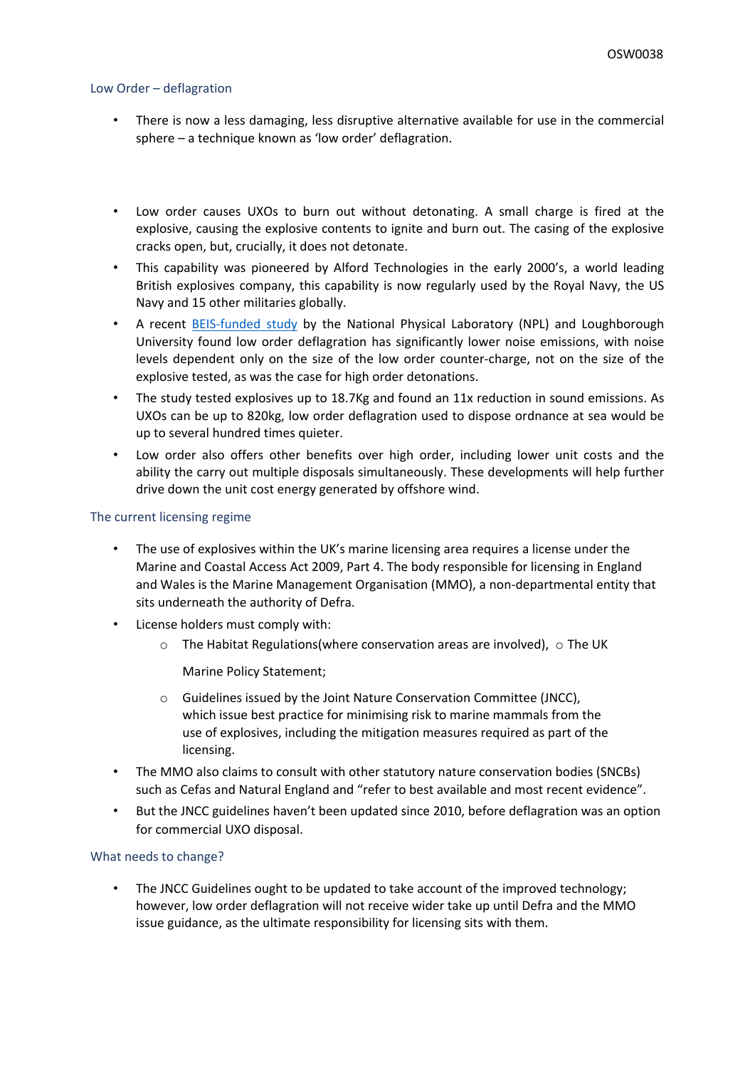#### Low Order – deflagration

- There is now a less damaging, less disruptive alternative available for use in the commercial sphere – a technique known as 'low order' deflagration.
- Low order causes UXOs to burn out without detonating. A small charge is fired at the explosive, causing the explosive contents to ignite and burn out. The casing of the explosive cracks open, but, crucially, it does not detonate.
- This capability was pioneered by Alford Technologies in the early 2000's, a world leading British explosives company, this capability is now regularly used by the Royal Navy, the US Navy and 15 other militaries globally.
- A recent **[BEIS-funded](https://d.docs.live.net/0c9a3a0c7e289d45/Eo/5.%09https:/assets.publishing.service.gov.uk/government/uploads/system/uploads/attachment_data/file/893773/NPL_2020_-_Characterisation_of_Acoustic_Fields_Generated_by_UXO_Removal.pdf) [study](https://d.docs.live.net/0c9a3a0c7e289d45/Eo/5.%09https:/assets.publishing.service.gov.uk/government/uploads/system/uploads/attachment_data/file/893773/NPL_2020_-_Characterisation_of_Acoustic_Fields_Generated_by_UXO_Removal.pdf) by the National Physical Laboratory (NPL)** and Loughborough University found low order deflagration has significantly lower noise emissions, with noise levels dependent only on the size of the low order counter-charge, not on the size of the explosive tested, as was the case for high order detonations.
- The study tested explosives up to 18.7Kg and found an 11x reduction in sound emissions. As UXOs can be up to 820kg, low order deflagration used to dispose ordnance at sea would be up to several hundred times quieter.
- Low order also offers other benefits over high order, including lower unit costs and the ability the carry out multiple disposals simultaneously. These developments will help further drive down the unit cost energy generated by offshore wind.

#### The current licensing regime

- The use of explosives within the UK's marine licensing area requires a license under the Marine and Coastal Access Act 2009, Part 4. The body responsible for licensing in England and Wales is the Marine Management Organisation (MMO), a non-departmental entity that sits underneath the authority of Defra.
- License holders must comply with:
	- $\circ$  The Habitat Regulations(where conservation areas are involved),  $\circ$  The UK

Marine Policy Statement;

- o Guidelines issued by the Joint Nature Conservation Committee (JNCC), which issue best practice for minimising risk to marine mammals from the use of explosives, including the mitigation measures required as part of the licensing.
- The MMO also claims to consult with other statutory nature conservation bodies (SNCBs) such as Cefas and Natural England and "refer to best available and most recent evidence".
- But the JNCC guidelines haven't been updated since 2010, before deflagration was an option for commercial UXO disposal.

#### What needs to change?

• The JNCC Guidelines ought to be updated to take account of the improved technology; however, low order deflagration will not receive wider take up until Defra and the MMO issue guidance, as the ultimate responsibility for licensing sits with them.